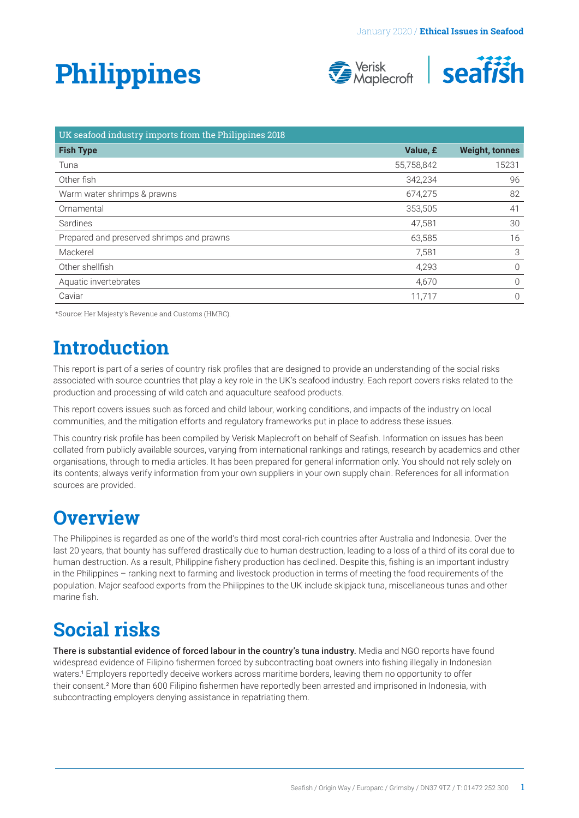# <span id="page-0-0"></span>**Philippines**





| UK seafood industry imports from the Philippines 2018 |            |                       |
|-------------------------------------------------------|------------|-----------------------|
| <b>Fish Type</b>                                      | Value, £   | <b>Weight, tonnes</b> |
| Tuna                                                  | 55,758,842 | 15231                 |
| Other fish                                            | 342,234    | 96                    |
| Warm water shrimps & prawns                           | 674,275    | 82                    |
| Ornamental                                            | 353,505    | 41                    |
| Sardines                                              | 47,581     | 30                    |
| Prepared and preserved shrimps and prawns             | 63,585     | 16                    |
| Mackerel                                              | 7,581      | 3                     |
| Other shellfish                                       | 4,293      | $\overline{0}$        |
| Aquatic invertebrates                                 | 4,670      | $\Omega$              |
| Caviar                                                | 11,717     | $\Omega$              |

\*Source: Her Majesty's Revenue and Customs (HMRC).

### **Introduction**

This report is part of a series of country risk profiles that are designed to provide an understanding of the social risks associated with source countries that play a key role in the UK's seafood industry. Each report covers risks related to the production and processing of wild catch and aquaculture seafood products.

This report covers issues such as forced and child labour, working conditions, and impacts of the industry on local communities, and the mitigation efforts and regulatory frameworks put in place to address these issues.

This country risk profile has been compiled by Verisk Maplecroft on behalf of Seafish. Information on issues has been collated from publicly available sources, varying from international rankings and ratings, research by academics and other organisations, through to media articles. It has been prepared for general information only. You should not rely solely on its contents; always verify information from your own suppliers in your own supply chain. References for all information sources are provided.

### **Overview**

The Philippines is regarded as one of the world's third most coral-rich countries after Australia and Indonesia. Over the last 20 years, that bounty has suffered drastically due to human destruction, leading to a loss of a third of its coral due to human destruction. As a result, Philippine fishery production has declined. Despite this, fishing is an important industry in the Philippines – ranking next to farming and livestock production in terms of meeting the food requirements of the population. Major seafood exports from the Philippines to the UK include skipjack tuna, miscellaneous tunas and other marine fish.

## **Social risks**

There is substantial evidence of forced labour in the country's tuna industry. Media and NGO reports have found widespread evidence of Filipino fishermen forced by subcontracting boat owners into fishing illegally in Indonesian waters.[1](#page-4-0) Employers reportedly deceive workers across maritime borders, leaving them no opportunity to offer their consent.<sup>[2](#page-4-0)</sup> More than 600 Filipino fishermen have reportedly been arrested and imprisoned in Indonesia, with subcontracting employers denying assistance in repatriating them.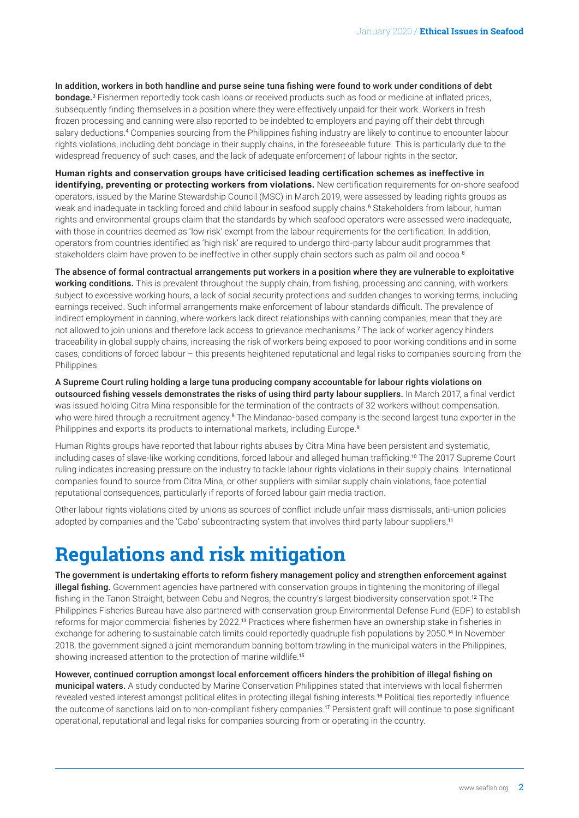<span id="page-1-0"></span>In addition, workers in both handline and purse seine tuna fishing were found to work under conditions of debt **bondage.**<sup>[3](#page-4-0)</sup> Fishermen reportedly took cash loans or received products such as food or medicine at inflated prices, subsequently finding themselves in a position where they were effectively unpaid for their work. Workers in fresh frozen processing and canning were also reported to be indebted to employers and paying off their debt through salary deductions.[4](#page-4-0) Companies sourcing from the Philippines fishing industry are likely to continue to encounter labour rights violations, including debt bondage in their supply chains, in the foreseeable future. This is particularly due to the widespread frequency of such cases, and the lack of adequate enforcement of labour rights in the sector.

**Human rights and conservation groups have criticised leading certification schemes as ineffective in identifying, preventing or protecting workers from violations.** New certification requirements for on-shore seafood operators, issued by the Marine Stewardship Council (MSC) in March 2019, were assessed by leading rights groups as weak and inadequate in tackling forced and child labour in seafood supply chains.[5](#page-4-0) Stakeholders from labour, human rights and environmental groups claim that the standards by which seafood operators were assessed were inadequate, with those in countries deemed as 'low risk' exempt from the labour requirements for the certification. In addition, operators from countries identified as 'high risk' are required to undergo third-party labour audit programmes that stakeholders claim have proven to be ineffective in other supply chain sectors such as palm oil and cocoa.<sup>[6](#page-4-0)</sup>

The absence of formal contractual arrangements put workers in a position where they are vulnerable to exploitative working conditions. This is prevalent throughout the supply chain, from fishing, processing and canning, with workers subject to excessive working hours, a lack of social security protections and sudden changes to working terms, including earnings received. Such informal arrangements make enforcement of labour standards difficult. The prevalence of indirect employment in canning, where workers lack direct relationships with canning companies, mean that they are not allowed to join unions and therefore lack access to grievance mechanisms.[7](#page-4-0) The lack of worker agency hinders traceability in global supply chains, increasing the risk of workers being exposed to poor working conditions and in some cases, conditions of forced labour – this presents heightened reputational and legal risks to companies sourcing from the Philippines.

A Supreme Court ruling holding a large tuna producing company accountable for labour rights violations on outsourced fishing vessels demonstrates the risks of using third party labour suppliers. In March 2017, a final verdict was issued holding Citra Mina responsible for the termination of the contracts of 32 workers without compensation, who were hired through a recruitment agency.<sup>[8](#page-4-0)</sup> The Mindanao-based company is the second largest tuna exporter in the Philippines and exports its products to international markets, including Europe.<sup>[9](#page-4-0)</sup>

Human Rights groups have reported that labour rights abuses by Citra Mina have been persistent and systematic, including cases of slave-like working conditions, forced labour and alleged human trafficking.[10](#page-4-0) The 2017 Supreme Court ruling indicates increasing pressure on the industry to tackle labour rights violations in their supply chains. International companies found to source from Citra Mina, or other suppliers with similar supply chain violations, face potential reputational consequences, particularly if reports of forced labour gain media traction.

Other labour rights violations cited by unions as sources of conflict include unfair mass dismissals, anti-union policies adopted by companies and the 'Cabo' subcontracting system that involves third party labour suppliers.<sup>[11](#page-4-0)</sup>

### **Regulations and risk mitigation**

The government is undertaking efforts to reform fishery management policy and strengthen enforcement against illegal fishing. Government agencies have partnered with conservation groups in tightening the monitoring of illegal fishing in the Tanon Straight, between Cebu and Negros, the country's largest biodiversity conservation spot.[12](#page-4-0) The Philippines Fisheries Bureau have also partnered with conservation group Environmental Defense Fund (EDF) to establish reforms for major commercial fisheries by 2022.[13](#page-4-0) Practices where fishermen have an ownership stake in fisheries in exchange for adhering to sustainable catch limits could reportedly quadruple fish populations by 2050.[14](#page-4-0) In November 2018, the government signed a joint memorandum banning bottom trawling in the municipal waters in the Philippines, showing increased attention to the protection of marine wildlife.<sup>[15](#page-4-0)</sup>

However, continued corruption amongst local enforcement officers hinders the prohibition of illegal fishing on municipal waters. A study conducted by Marine Conservation Philippines stated that interviews with local fishermen revealed vested interest amongst political elites in protecting illegal fishing interests.[16](#page-4-0) Political ties reportedly influence the outcome of sanctions laid on to non-compliant fishery companies.[17](#page-4-0) Persistent graft will continue to pose significant operational, reputational and legal risks for companies sourcing from or operating in the country.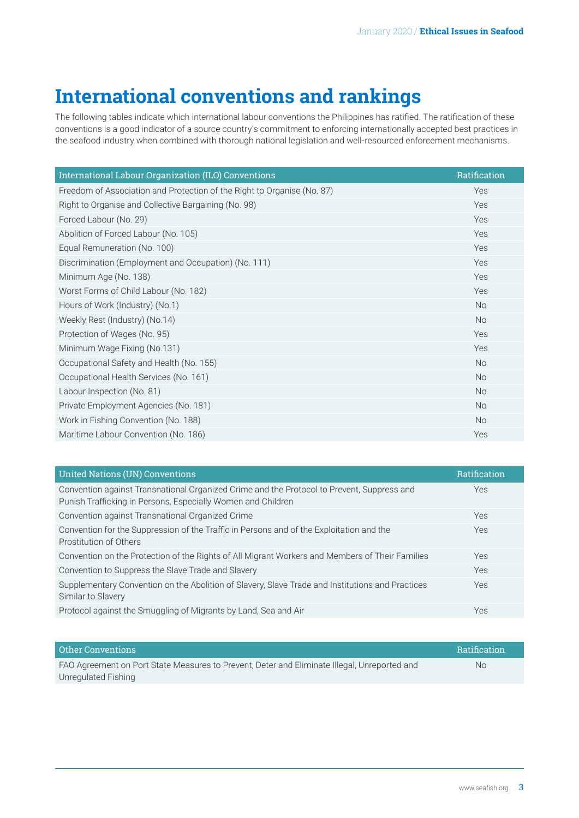# **International conventions and rankings**

The following tables indicate which international labour conventions the Philippines has ratified. The ratification of these conventions is a good indicator of a source country's commitment to enforcing internationally accepted best practices in the seafood industry when combined with thorough national legislation and well-resourced enforcement mechanisms.

| International Labour Organization (ILO) Conventions                     | Ratification |
|-------------------------------------------------------------------------|--------------|
| Freedom of Association and Protection of the Right to Organise (No. 87) | Yes          |
| Right to Organise and Collective Bargaining (No. 98)                    | Yes          |
| Forced Labour (No. 29)                                                  | Yes          |
| Abolition of Forced Labour (No. 105)                                    | Yes          |
| Equal Remuneration (No. 100)                                            | Yes          |
| Discrimination (Employment and Occupation) (No. 111)                    | Yes          |
| Minimum Age (No. 138)                                                   | Yes          |
| Worst Forms of Child Labour (No. 182)                                   | Yes          |
| Hours of Work (Industry) (No.1)                                         | <b>No</b>    |
| Weekly Rest (Industry) (No.14)                                          | <b>No</b>    |
| Protection of Wages (No. 95)                                            | Yes          |
| Minimum Wage Fixing (No.131)                                            | Yes          |
| Occupational Safety and Health (No. 155)                                | <b>No</b>    |
| Occupational Health Services (No. 161)                                  | <b>No</b>    |
| Labour Inspection (No. 81)                                              | <b>No</b>    |
| Private Employment Agencies (No. 181)                                   | <b>No</b>    |
| Work in Fishing Convention (No. 188)                                    | No           |
| Maritime Labour Convention (No. 186)                                    | Yes          |

| <b>United Nations (UN) Conventions</b>                                                                                                                     | Ratification |
|------------------------------------------------------------------------------------------------------------------------------------------------------------|--------------|
| Convention against Transnational Organized Crime and the Protocol to Prevent, Suppress and<br>Punish Trafficking in Persons, Especially Women and Children | <b>Yes</b>   |
| Convention against Transnational Organized Crime                                                                                                           | <b>Yes</b>   |
| Convention for the Suppression of the Traffic in Persons and of the Exploitation and the<br>Prostitution of Others                                         | <b>Yes</b>   |
| Convention on the Protection of the Rights of All Migrant Workers and Members of Their Families                                                            | <b>Yes</b>   |
| Convention to Suppress the Slave Trade and Slavery                                                                                                         | Yes          |
| Supplementary Convention on the Abolition of Slavery, Slave Trade and Institutions and Practices<br>Similar to Slavery                                     | Yes          |
| Protocol against the Smuggling of Migrants by Land, Sea and Air                                                                                            | <b>Yes</b>   |
|                                                                                                                                                            |              |

| <b>Other Conventions</b>                                                                     | <b>Ratification</b> |
|----------------------------------------------------------------------------------------------|---------------------|
| FAO Agreement on Port State Measures to Prevent, Deter and Eliminate Illegal, Unreported and | No                  |
| Unregulated Fishing                                                                          |                     |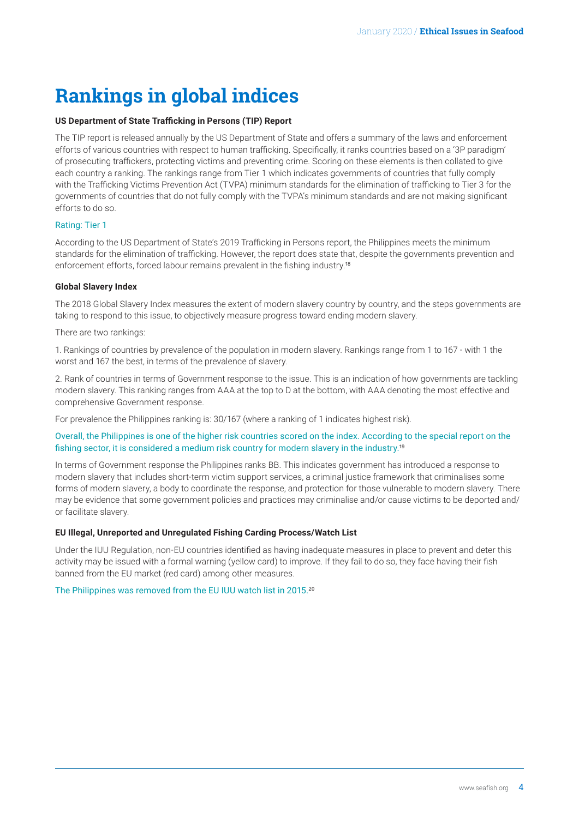# <span id="page-3-0"></span>**Rankings in global indices**

#### **US Department of State Trafficking in Persons (TIP) Report**

The TIP report is released annually by the US Department of State and offers a summary of the laws and enforcement efforts of various countries with respect to human trafficking. Specifically, it ranks countries based on a '3P paradigm' of prosecuting traffickers, protecting victims and preventing crime. Scoring on these elements is then collated to give each country a ranking. The rankings range from Tier 1 which indicates governments of countries that fully comply with the Trafficking Victims Prevention Act (TVPA) minimum standards for the elimination of trafficking to Tier 3 for the governments of countries that do not fully comply with the TVPA's minimum standards and are not making significant efforts to do so.

#### Rating: Tier 1

According to the US Department of State's 2019 Trafficking in Persons report, the Philippines meets the minimum standards for the elimination of trafficking. However, the report does state that, despite the governments prevention and enforcement efforts, forced labour remains prevalent in the fishing industry.[18](#page-4-0)

#### **Global Slavery Index**

The 2018 Global Slavery Index measures the extent of modern slavery country by country, and the steps governments are taking to respond to this issue, to objectively measure progress toward ending modern slavery.

There are two rankings:

1. Rankings of countries by prevalence of the population in modern slavery. Rankings range from 1 to 167 - with 1 the worst and 167 the best, in terms of the prevalence of slavery.

2. Rank of countries in terms of Government response to the issue. This is an indication of how governments are tackling modern slavery. This ranking ranges from AAA at the top to D at the bottom, with AAA denoting the most effective and comprehensive Government response.

For prevalence the Philippines ranking is: 30/167 (where a ranking of 1 indicates highest risk).

#### Overall, the Philippines is one of the higher risk countries scored on the index. According to the special report on the fishing sector, it is considered a medium risk country for modern slavery in the industry.[19](#page-4-0)

In terms of Government response the Philippines ranks BB. This indicates government has introduced a response to modern slavery that includes short-term victim support services, a criminal justice framework that criminalises some forms of modern slavery, a body to coordinate the response, and protection for those vulnerable to modern slavery. There may be evidence that some government policies and practices may criminalise and/or cause victims to be deported and/ or facilitate slavery.

#### **EU Illegal, Unreported and Unregulated Fishing Carding Process/Watch List**

Under the IUU Regulation, non-EU countries identified as having inadequate measures in place to prevent and deter this activity may be issued with a formal warning (yellow card) to improve. If they fail to do so, they face having their fish banned from the EU market (red card) among other measures.

The Philippines was removed from the EU IUU watch list in 2015.[20](#page-4-0)